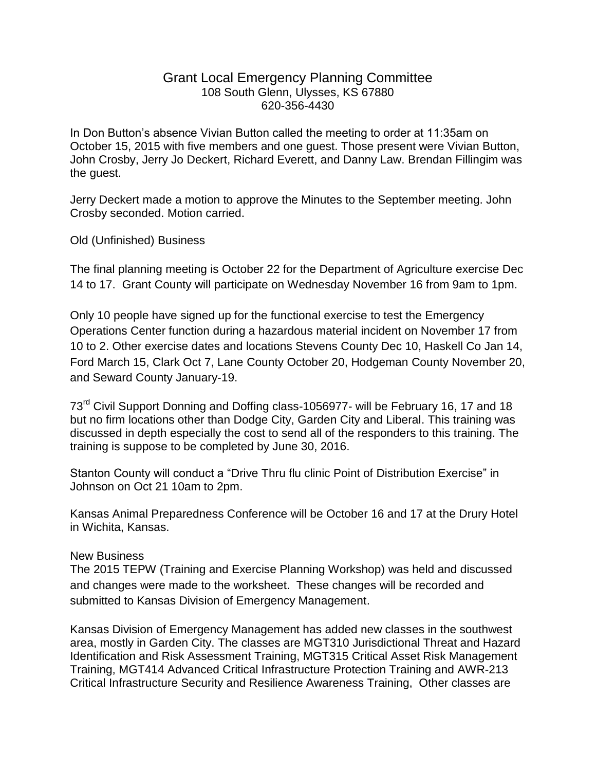## Grant Local Emergency Planning Committee 108 South Glenn, Ulysses, KS 67880 620-356-4430

In Don Button's absence Vivian Button called the meeting to order at 11:35am on October 15, 2015 with five members and one guest. Those present were Vivian Button, John Crosby, Jerry Jo Deckert, Richard Everett, and Danny Law. Brendan Fillingim was the guest.

Jerry Deckert made a motion to approve the Minutes to the September meeting. John Crosby seconded. Motion carried.

Old (Unfinished) Business

The final planning meeting is October 22 for the Department of Agriculture exercise Dec 14 to 17. Grant County will participate on Wednesday November 16 from 9am to 1pm.

Only 10 people have signed up for the functional exercise to test the Emergency Operations Center function during a hazardous material incident on November 17 from 10 to 2. Other exercise dates and locations Stevens County Dec 10, Haskell Co Jan 14, Ford March 15, Clark Oct 7, Lane County October 20, Hodgeman County November 20, and Seward County January-19.

73<sup>rd</sup> Civil Support Donning and Doffing class-1056977- will be February 16, 17 and 18 but no firm locations other than Dodge City, Garden City and Liberal. This training was discussed in depth especially the cost to send all of the responders to this training. The training is suppose to be completed by June 30, 2016.

Stanton County will conduct a "Drive Thru flu clinic Point of Distribution Exercise" in Johnson on Oct 21 10am to 2pm.

Kansas Animal Preparedness Conference will be October 16 and 17 at the Drury Hotel in Wichita, Kansas.

## New Business

The 2015 TEPW (Training and Exercise Planning Workshop) was held and discussed and changes were made to the worksheet. These changes will be recorded and submitted to Kansas Division of Emergency Management.

Kansas Division of Emergency Management has added new classes in the southwest area, mostly in Garden City. The classes are MGT310 Jurisdictional Threat and Hazard Identification and Risk Assessment Training, MGT315 Critical Asset Risk Management Training, MGT414 Advanced Critical Infrastructure Protection Training and AWR-213 Critical Infrastructure Security and Resilience Awareness Training, Other classes are